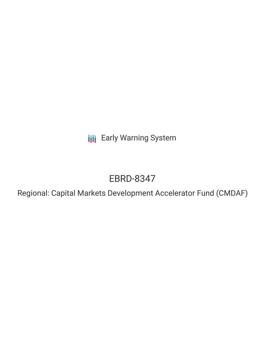**III** Early Warning System

# EBRD-8347

Regional: Capital Markets Development Accelerator Fund (CMDAF)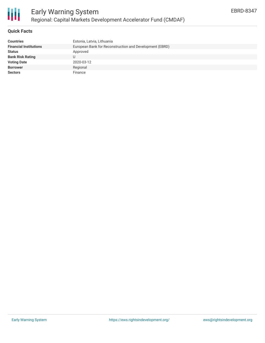

### **Quick Facts**

冊

| <b>Countries</b>              | Estonia, Latvia, Lithuania                              |
|-------------------------------|---------------------------------------------------------|
| <b>Financial Institutions</b> | European Bank for Reconstruction and Development (EBRD) |
| <b>Status</b>                 | Approved                                                |
| <b>Bank Risk Rating</b>       |                                                         |
| <b>Voting Date</b>            | 2020-03-12                                              |
| <b>Borrower</b>               | Regional                                                |
| <b>Sectors</b>                | Finance                                                 |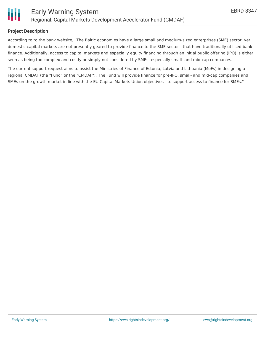

## **Project Description**

According to to the bank website, "The Baltic economies have a large small and medium-sized enterprises (SME) sector, yet domestic capital markets are not presently geared to provide finance to the SME sector - that have traditionally utilised bank finance. Additionally, access to capital markets and especially equity financing through an initial public offering (IPO) is either seen as being too complex and costly or simply not considered by SMEs, especially small- and mid-cap companies.

The current support request aims to assist the Ministries of Finance of Estonia, Latvia and Lithuania (MoFs) in designing a regional CMDAF (the "Fund" or the "CMDAF"). The Fund will provide finance for pre-IPO, small- and mid-cap companies and SMEs on the growth market in line with the EU Capital Markets Union objectives - to support access to finance for SMEs."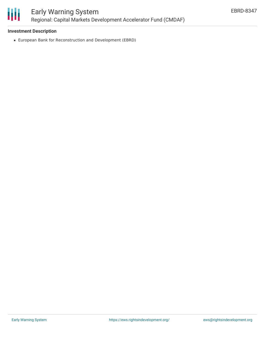

# **Investment Description**

European Bank for Reconstruction and Development (EBRD)